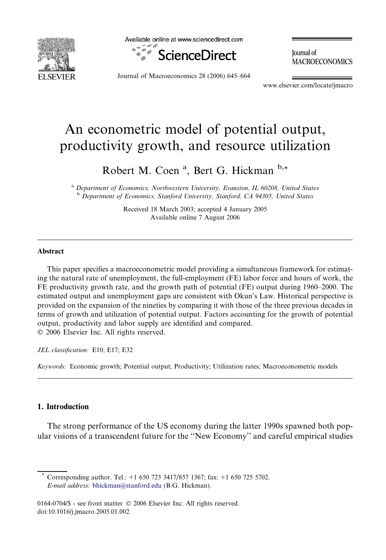

Available online at www.sciencedirect.com



**Journal** of **MACROECONOMICS** 

Journal of Macroeconomics 28 (2006) 645–664

www.elsevier.com/locate/jmacro

## An econometric model of potential output, productivity growth, and resource utilization

Robert M. Coen<sup>a</sup>, Bert G. Hickman b,\*

<sup>a</sup> Department of Economics, Northwestern University, Evanston, IL 60208, United States <sup>b</sup> Department of Economics, Stanford University, Stanford, CA 94305, United States

> Received 18 March 2003; accepted 4 January 2005 Available online 7 August 2006

#### Abstract

This paper specifies a macroeconometric model providing a simultaneous framework for estimating the natural rate of unemployment, the full-employment (FE) labor force and hours of work, the FE productivity growth rate, and the growth path of potential (FE) output during 1960–2000. The estimated output and unemployment gaps are consistent with Okun's Law. Historical perspective is provided on the expansion of the nineties by comparing it with those of the three previous decades in terms of growth and utilization of potential output. Factors accounting for the growth of potential output, productivity and labor supply are identified and compared. © 2006 Elsevier Inc. All rights reserved.

JEL classification: E10; E17; E32

Keywords: Economic growth; Potential output; Productivity; Utilization rates; Macroeconometric models

### 1. Introduction

The strong performance of the US economy during the latter 1990s spawned both popular visions of a transcendent future for the ''New Economy'' and careful empirical studies

Corresponding author. Tel.: +1 650 723 3417/857 1367; fax: +1 650 725 5702. E-mail address: [bhickman@stanford.edu](mailto:bhickman@stanford.edu) (B.G. Hickman).

0164-0704/\$ - see front matter © 2006 Elsevier Inc. All rights reserved. doi:10.1016/j.jmacro.2005.01.002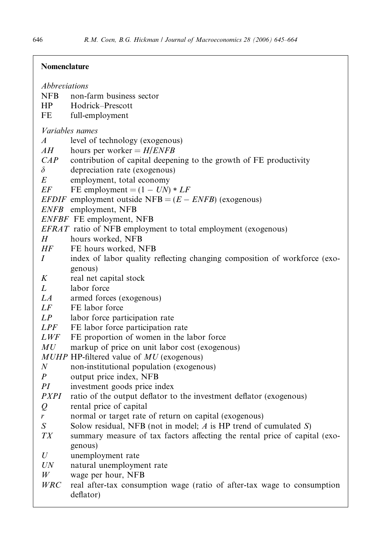### Nomenclature

| Abbreviations<br><b>NFB</b><br>HP | non-farm business sector<br>Hodrick–Prescott                                         |
|-----------------------------------|--------------------------------------------------------------------------------------|
| FE                                | full-employment                                                                      |
| <i>Variables names</i>            |                                                                                      |
| $\boldsymbol{A}$                  | level of technology (exogenous)                                                      |
| AH                                | hours per worker = $H/ENFB$                                                          |
| CAP<br>$\delta$                   | contribution of capital deepening to the growth of FE productivity                   |
| E                                 | depreciation rate (exogenous)<br>employment, total economy                           |
| EF                                | FE employment = $(1 - UN) * LF$                                                      |
|                                   | <i>EFDIF</i> employment outside NFB = $(E - ENFB)$ (exogenous)                       |
|                                   | ENFB employment, NFB                                                                 |
|                                   | ENFBF FE employment, NFB                                                             |
|                                   | EFRAT ratio of NFB employment to total employment (exogenous)                        |
| H                                 | hours worked, NFB                                                                    |
| HF                                | FE hours worked, NFB                                                                 |
| Ι                                 | index of labor quality reflecting changing composition of workforce (exo-            |
|                                   | genous)                                                                              |
| K                                 | real net capital stock                                                               |
| L                                 | labor force                                                                          |
| LA                                | armed forces (exogenous)                                                             |
| LF                                | FE labor force                                                                       |
| LP                                | labor force participation rate                                                       |
| LPF                               | FE labor force participation rate                                                    |
| <i>LWF</i>                        | FE proportion of women in the labor force                                            |
| MU                                | markup of price on unit labor cost (exogenous)                                       |
|                                   | $MUHP$ HP-filtered value of $MU$ (exogenous)                                         |
| $\boldsymbol{N}$                  | non-institutional population (exogenous)                                             |
| P                                 | output price index, NFB                                                              |
| РI                                | investment goods price index                                                         |
| <i>PXPI</i>                       | ratio of the output deflator to the investment deflator (exogenous)                  |
| $\varrho$                         | rental price of capital<br>normal or target rate of return on capital (exogenous)    |
| r<br>$\boldsymbol{S}$             | Solow residual, NFB (not in model; $A$ is HP trend of cumulated $S$ )                |
| ТX                                | summary measure of tax factors affecting the rental price of capital (exo-           |
|                                   | genous)                                                                              |
| U                                 | unemployment rate                                                                    |
| UN                                | natural unemployment rate                                                            |
| W                                 | wage per hour, NFB                                                                   |
| WRC                               | real after-tax consumption wage (ratio of after-tax wage to consumption<br>deflator) |